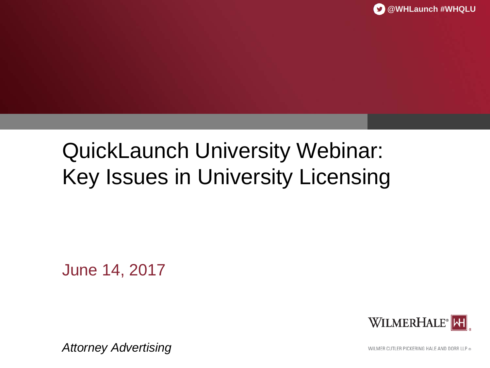# QuickLaunch University Webinar: Key Issues in University Licensing

June 14, 2017



*Attorney Advertising*

WILMER CUTLER PICKERING HALE AND DORR LLP ®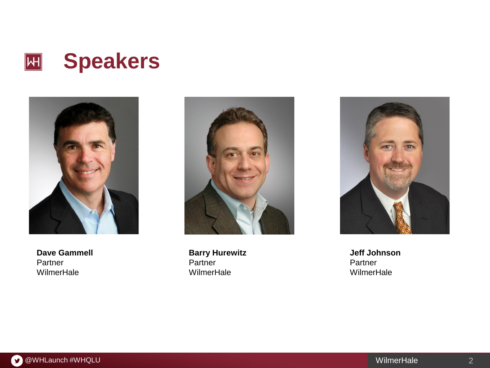



**Dave Gammell** Partner WilmerHale



**Barry Hurewitz** Partner **WilmerHale** 



**Jeff Johnson** Partner WilmerHale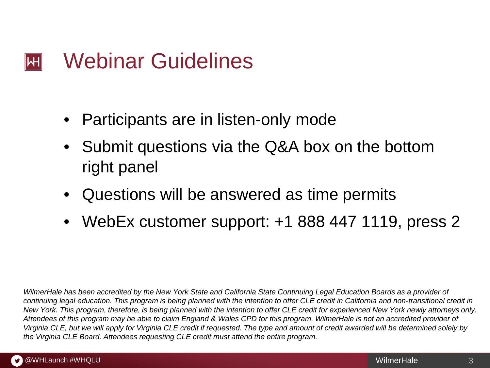#### Webinar Guidelines  $\left\| \mathsf{H} \right\|$

- Participants are in listen-only mode
- Submit questions via the Q&A box on the bottom right panel
- Questions will be answered as time permits
- WebEx customer support: +1 888 447 1119, press 2

*WilmerHale has been accredited by the New York State and California State Continuing Legal Education Boards as a provider of continuing legal education. This program is being planned with the intention to offer CLE credit in California and non-transitional credit in New York. This program, therefore, is being planned with the intention to offer CLE credit for experienced New York newly attorneys only. Attendees of this program may be able to claim England & Wales CPD for this program. WilmerHale is not an accredited provider of Virginia CLE, but we will apply for Virginia CLE credit if requested. The type and amount of credit awarded will be determined solely by the Virginia CLE Board. Attendees requesting CLE credit must attend the entire program.*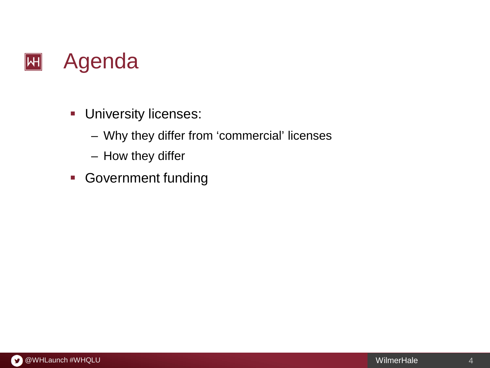

- **University licenses:** 
	- Why they differ from 'commercial' licenses
	- How they differ
- **Government funding**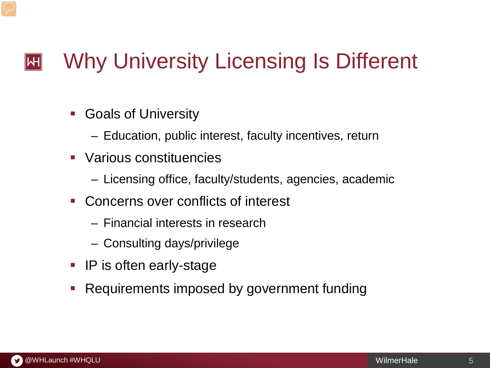#### Why University Licensing Is Different  $\left\| \mathsf{H} \right\|$

- Goals of University
	- Education, public interest, faculty incentives, return
- Various constituencies
	- Licensing office, faculty/students, agencies, academic
- Concerns over conflicts of interest
	- Financial interests in research
	- Consulting days/privilege
- **IP** is often early-stage
- Requirements imposed by government funding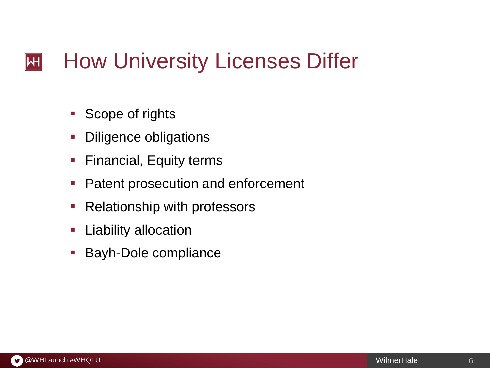#### How University Licenses Differ  $|\mathsf{H}|$

- Scope of rights
- **Diligence obligations**
- **Financial, Equity terms**
- **Patent prosecution and enforcement**
- **Relationship with professors**
- **Liability allocation**
- Bayh-Dole compliance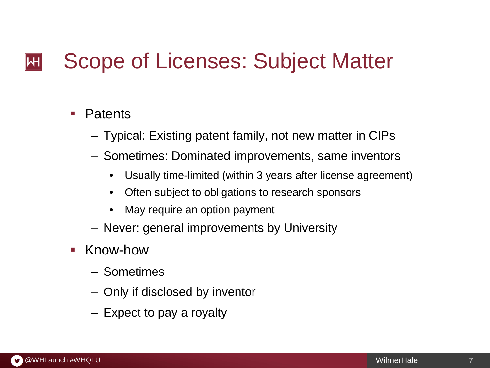#### Scope of Licenses: Subject Matter  $\mathsf{I}\mathsf{H}\mathsf{I}$

### **Patents**

- Typical: Existing patent family, not new matter in CIPs
- Sometimes: Dominated improvements, same inventors
	- Usually time-limited (within 3 years after license agreement)
	- Often subject to obligations to research sponsors
	- May require an option payment
- Never: general improvements by University
- Know-how
	- Sometimes
	- Only if disclosed by inventor
	- Expect to pay a royalty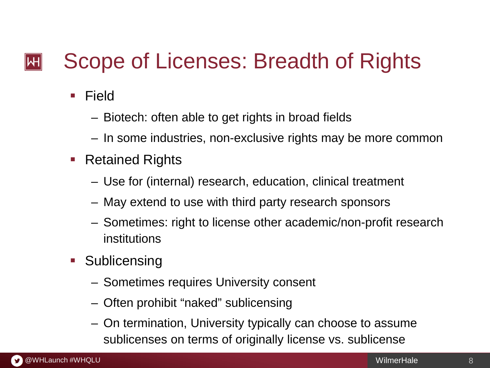#### Scope of Licenses: Breadth of Rights  $\mathsf{|\mathsf{H}|}$

- **E** Field
	- Biotech: often able to get rights in broad fields
	- In some industries, non-exclusive rights may be more common
- Retained Rights
	- Use for (internal) research, education, clinical treatment
	- May extend to use with third party research sponsors
	- Sometimes: right to license other academic/non-profit research institutions
- **Sublicensing** 
	- Sometimes requires University consent
	- Often prohibit "naked" sublicensing
	- On termination, University typically can choose to assume sublicenses on terms of originally license vs. sublicense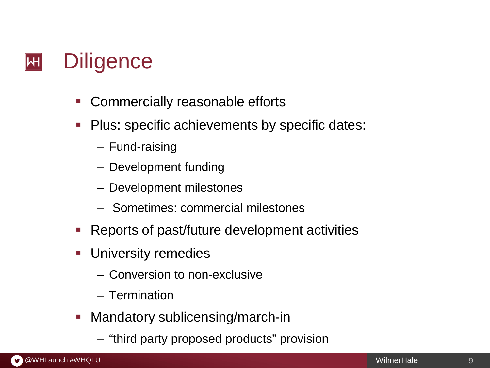

- **-** Commercially reasonable efforts
- **Plus: specific achievements by specific dates:** 
	- Fund-raising
	- Development funding
	- Development milestones
	- Sometimes: commercial milestones
- Reports of past/future development activities
- **University remedies** 
	- Conversion to non-exclusive
	- Termination
- **Mandatory sublicensing/march-in** 
	- "third party proposed products" provision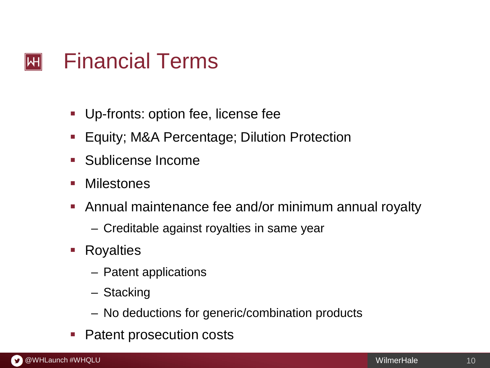#### Financial Terms  $\mathsf{|\mathsf{H}|}$

- **Up-fronts: option fee, license fee**
- Equity; M&A Percentage; Dilution Protection
- **Sublicense Income**
- **Milestones**
- Annual maintenance fee and/or minimum annual royalty
	- Creditable against royalties in same year
- **Royalties** 
	- Patent applications
	- Stacking
	- No deductions for generic/combination products
- Patent prosecution costs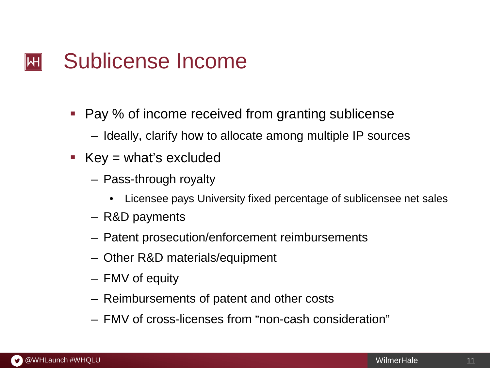#### Sublicense Income  $\left\vert \mathsf{H}\right\vert$

- Pay % of income received from granting sublicense
	- Ideally, clarify how to allocate among multiple IP sources
- Key = what's excluded
	- Pass-through royalty
		- Licensee pays University fixed percentage of sublicensee net sales
	- R&D payments
	- Patent prosecution/enforcement reimbursements
	- Other R&D materials/equipment
	- FMV of equity
	- Reimbursements of patent and other costs
	- FMV of cross-licenses from "non-cash consideration"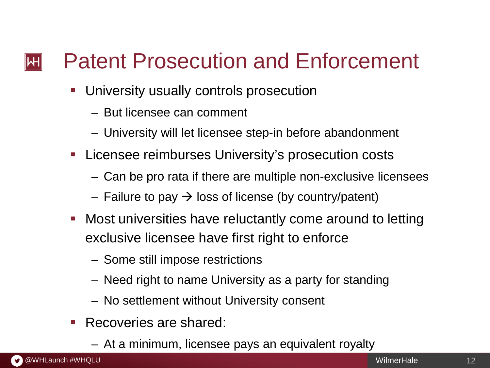#### Patent Prosecution and Enforcement  $\left\Vert \mathsf{H}\right\Vert$

- University usually controls prosecution
	- But licensee can comment
	- University will let licensee step-in before abandonment
- Licensee reimburses University's prosecution costs
	- Can be pro rata if there are multiple non-exclusive licensees
	- Failure to pay  $\rightarrow$  loss of license (by country/patent)
- Most universities have reluctantly come around to letting exclusive licensee have first right to enforce
	- Some still impose restrictions
	- Need right to name University as a party for standing
	- No settlement without University consent
- Recoveries are shared:
	- At a minimum, licensee pays an equivalent royalty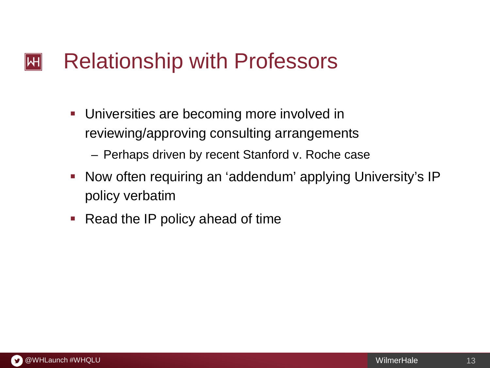#### Relationship with Professors  $\left\Vert \mathsf{H}\right\Vert$

- **Universities are becoming more involved in** reviewing/approving consulting arrangements
	- Perhaps driven by recent Stanford v. Roche case
- **Now often requiring an 'addendum' applying University's IP** policy verbatim
- Read the IP policy ahead of time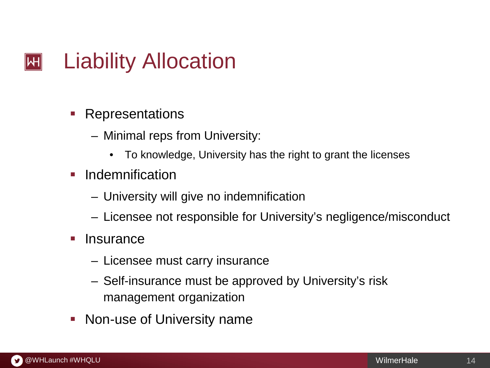#### Liability Allocation  $\left\Vert \mathsf{H}\right\Vert$

- **Representations** 
	- Minimal reps from University:
		- To knowledge, University has the right to grant the licenses
- Indemnification
	- University will give no indemnification
	- Licensee not responsible for University's negligence/misconduct
- **Insurance** 
	- Licensee must carry insurance
	- Self-insurance must be approved by University's risk management organization
- **Non-use of University name**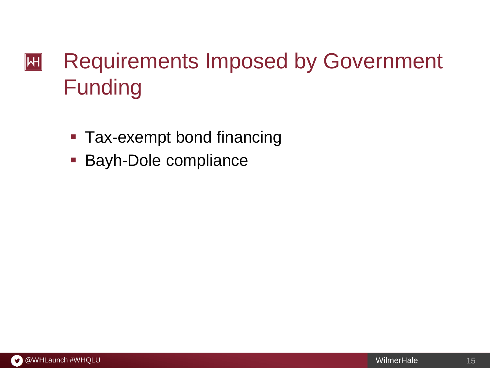## Requirements Imposed by Government  $|\mathsf{H}|$ Funding

- **Tax-exempt bond financing**
- **Bayh-Dole compliance**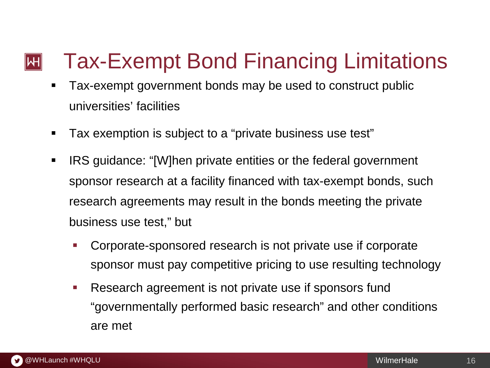#### Tax-Exempt Bond Financing Limitations  $|\mathsf{H}|$

- **Tax-exempt government bonds may be used to construct public** universities' facilities
- Tax exemption is subject to a "private business use test"
- **IRS** guidance: "[W]hen private entities or the federal government sponsor research at a facility financed with tax-exempt bonds, such research agreements may result in the bonds meeting the private business use test," but
	- Corporate-sponsored research is not private use if corporate sponsor must pay competitive pricing to use resulting technology
	- Research agreement is not private use if sponsors fund "governmentally performed basic research" and other conditions are met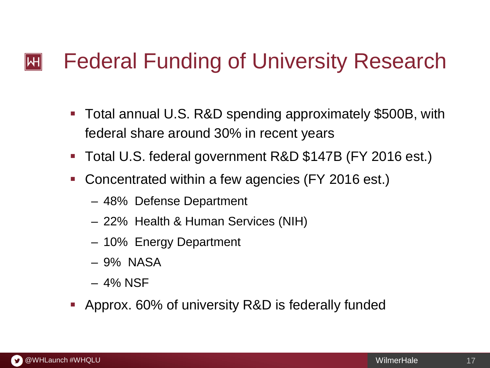#### Federal Funding of University Research  $\left\Vert \mathsf{H}\right\Vert$

- Total annual U.S. R&D spending approximately \$500B, with federal share around 30% in recent years
- Total U.S. federal government R&D \$147B (FY 2016 est.)
- Concentrated within a few agencies (FY 2016 est.)
	- 48% Defense Department
	- 22% Health & Human Services (NIH)
	- 10% Energy Department
	- 9% NASA
	- 4% NSF
- Approx. 60% of university R&D is federally funded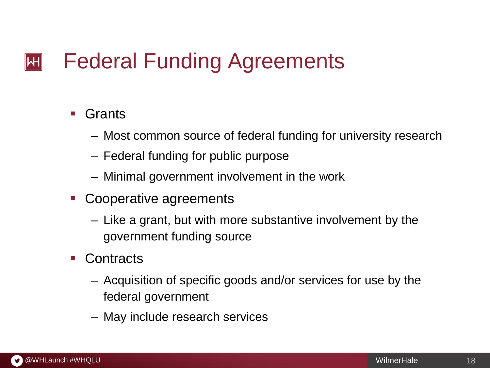#### Federal Funding Agreements  $\left\Vert \mathsf{H}\right\Vert$

### ■ Grants

- Most common source of federal funding for university research
- Federal funding for public purpose
- Minimal government involvement in the work
- Cooperative agreements
	- Like a grant, but with more substantive involvement by the government funding source
- Contracts
	- Acquisition of specific goods and/or services for use by the federal government
	- May include research services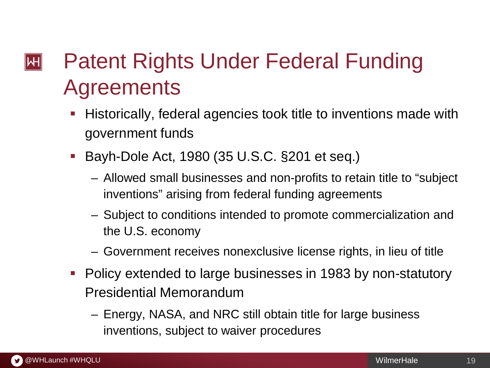## Patent Rights Under Federal Funding  $\left\Vert \mathsf{H}\right\Vert$ **Agreements**

- Historically, federal agencies took title to inventions made with government funds
- Bayh-Dole Act, 1980 (35 U.S.C. §201 et seq.)
	- Allowed small businesses and non-profits to retain title to "subject inventions" arising from federal funding agreements
	- Subject to conditions intended to promote commercialization and the U.S. economy
	- Government receives nonexclusive license rights, in lieu of title
- **Policy extended to large businesses in 1983 by non-statutory** Presidential Memorandum
	- Energy, NASA, and NRC still obtain title for large business inventions, subject to waiver procedures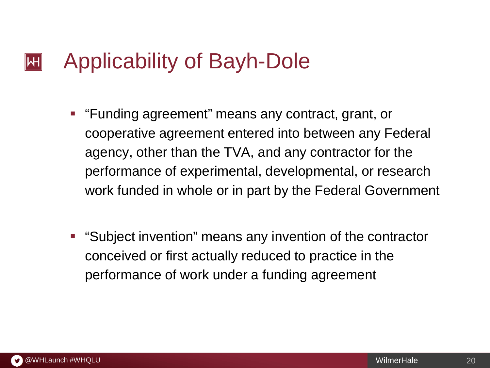#### Applicability of Bayh-Dole  $\left\| \mathsf{H} \right\|$

- **F** "Funding agreement" means any contract, grant, or cooperative agreement entered into between any Federal agency, other than the TVA, and any contractor for the performance of experimental, developmental, or research work funded in whole or in part by the Federal Government
- "Subject invention" means any invention of the contractor conceived or first actually reduced to practice in the performance of work under a funding agreement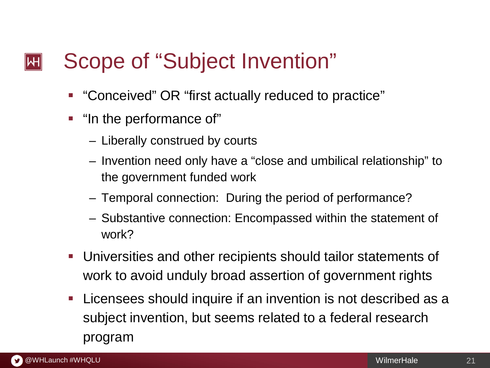#### Scope of "Subject Invention"  $\left\Vert \mathsf{H}\right\Vert$

- "Conceived" OR "first actually reduced to practice"
- "In the performance of"
	- Liberally construed by courts
	- Invention need only have a "close and umbilical relationship" to the government funded work
	- Temporal connection: During the period of performance?
	- Substantive connection: Encompassed within the statement of work?
- Universities and other recipients should tailor statements of work to avoid unduly broad assertion of government rights
- Licensees should inquire if an invention is not described as a subject invention, but seems related to a federal research program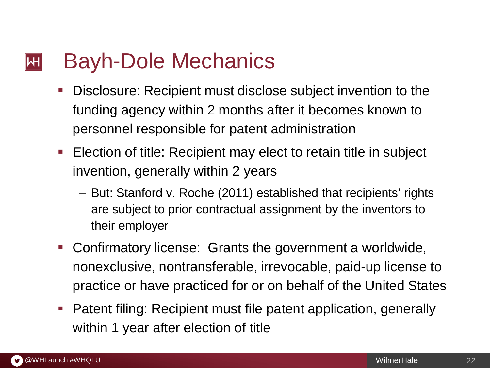#### Bayh-Dole Mechanics  $|\mathsf{H}|$

- Disclosure: Recipient must disclose subject invention to the funding agency within 2 months after it becomes known to personnel responsible for patent administration
- Election of title: Recipient may elect to retain title in subject invention, generally within 2 years
	- But: Stanford v. Roche (2011) established that recipients' rights are subject to prior contractual assignment by the inventors to their employer
- Confirmatory license: Grants the government a worldwide, nonexclusive, nontransferable, irrevocable, paid-up license to practice or have practiced for or on behalf of the United States
- Patent filing: Recipient must file patent application, generally within 1 year after election of title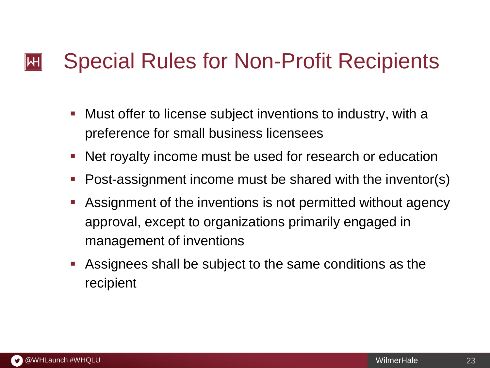#### Special Rules for Non-Profit Recipients  $\mathsf{I}\mathsf{H}\mathsf{I}$

- Must offer to license subject inventions to industry, with a preference for small business licensees
- Net royalty income must be used for research or education
- Post-assignment income must be shared with the inventor(s)
- Assignment of the inventions is not permitted without agency approval, except to organizations primarily engaged in management of inventions
- Assignees shall be subject to the same conditions as the recipient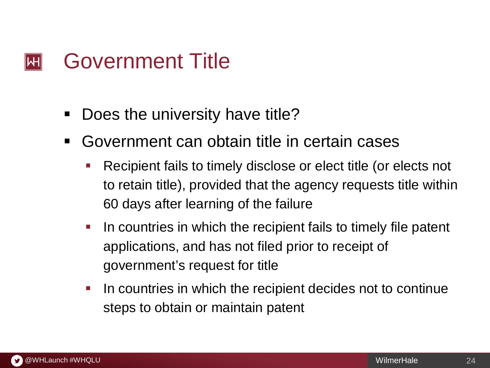#### Government Title  $\mathsf{|\mathsf{H}|}$

- Does the university have title?
- Government can obtain title in certain cases
	- Recipient fails to timely disclose or elect title (or elects not to retain title), provided that the agency requests title within 60 days after learning of the failure
	- In countries in which the recipient fails to timely file patent applications, and has not filed prior to receipt of government's request for title
	- I In countries in which the recipient decides not to continue steps to obtain or maintain patent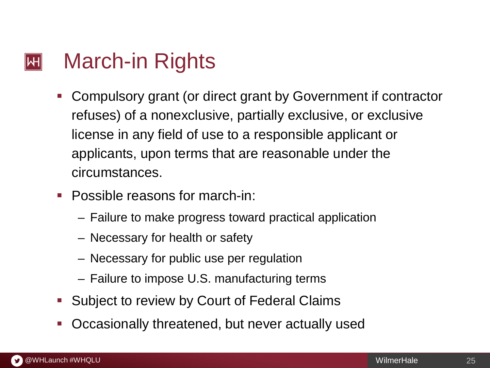#### March-in Rights  $\mathsf{|\mathsf{H}|}$

- Compulsory grant (or direct grant by Government if contractor refuses) of a nonexclusive, partially exclusive, or exclusive license in any field of use to a responsible applicant or applicants, upon terms that are reasonable under the circumstances.
- **Possible reasons for march-in:** 
	- Failure to make progress toward practical application
	- Necessary for health or safety
	- Necessary for public use per regulation
	- Failure to impose U.S. manufacturing terms
- **Subject to review by Court of Federal Claims**
- Occasionally threatened, but never actually used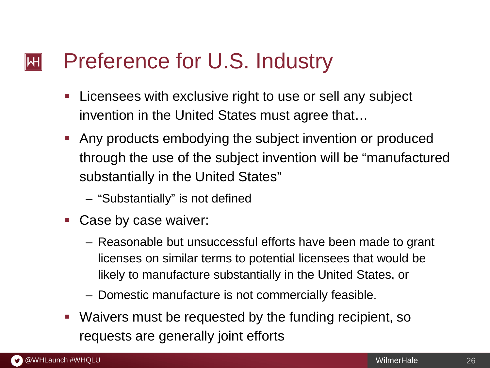#### Preference for U.S. Industry  $\mathsf{I}\mathsf{H}\mathsf{I}$

- **Licensees with exclusive right to use or sell any subject** invention in the United States must agree that…
- Any products embodying the subject invention or produced through the use of the subject invention will be "manufactured substantially in the United States"
	- "Substantially" is not defined
- Case by case waiver:
	- Reasonable but unsuccessful efforts have been made to grant licenses on similar terms to potential licensees that would be likely to manufacture substantially in the United States, or
	- Domestic manufacture is not commercially feasible.
- Waivers must be requested by the funding recipient, so requests are generally joint efforts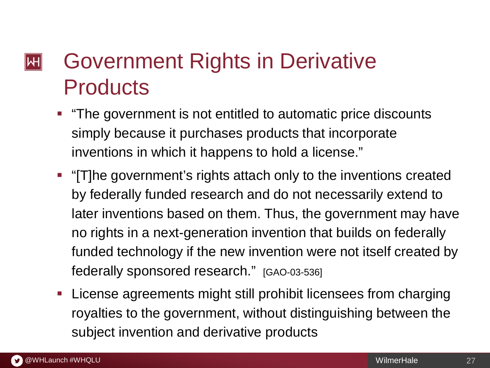## Government Rights in Derivative  $\left\Vert \mathsf{H}\right\Vert$ **Products**

- **The government is not entitled to automatic price discounts** simply because it purchases products that incorporate inventions in which it happens to hold a license."
- "[T]he government's rights attach only to the inventions created by federally funded research and do not necessarily extend to later inventions based on them. Thus, the government may have no rights in a next-generation invention that builds on federally funded technology if the new invention were not itself created by federally sponsored research." [GAO-03-536]
- **-** License agreements might still prohibit licensees from charging royalties to the government, without distinguishing between the subject invention and derivative products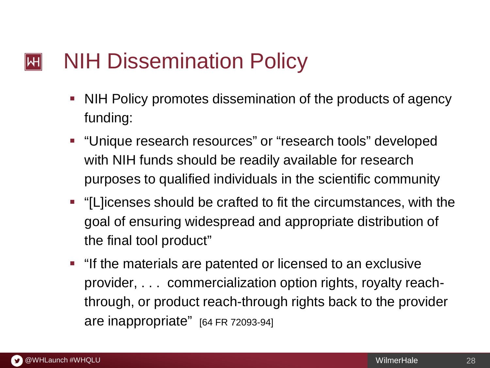#### NIH Dissemination Policy  $|\mathsf{H}|$

- NIH Policy promotes dissemination of the products of agency funding:
- **•** "Unique research resources" or "research tools" developed with NIH funds should be readily available for research purposes to qualified individuals in the scientific community
- "[L]icenses should be crafted to fit the circumstances, with the goal of ensuring widespread and appropriate distribution of the final tool product"
- **If the materials are patented or licensed to an exclusive** provider, . . . commercialization option rights, royalty reachthrough, or product reach-through rights back to the provider are inappropriate" [64 FR 72093-94]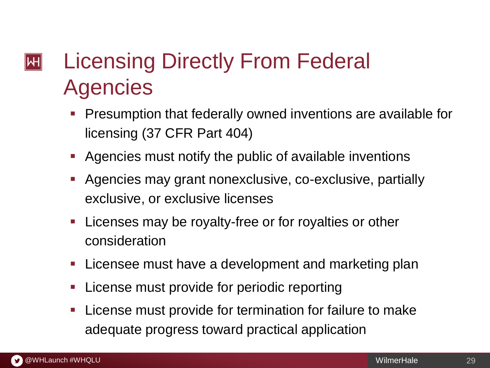## Licensing Directly From Federal  $|\mathsf{H}|$ **Agencies**

- **Presumption that federally owned inventions are available for** licensing (37 CFR Part 404)
- Agencies must notify the public of available inventions
- Agencies may grant nonexclusive, co-exclusive, partially exclusive, or exclusive licenses
- **Licenses may be royalty-free or for royalties or other** consideration
- **EXTERGHEER** Licensee must have a development and marketing plan
- License must provide for periodic reporting
- **License must provide for termination for failure to make** adequate progress toward practical application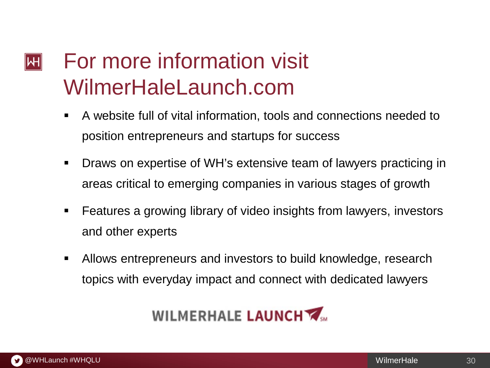### For more information visit  $\left\| \mathsf{H} \right\|$ WilmerHaleLaunch.com

- A website full of vital information, tools and connections needed to position entrepreneurs and startups for success
- Draws on expertise of WH's extensive team of lawyers practicing in areas critical to emerging companies in various stages of growth
- Features a growing library of video insights from lawyers, investors and other experts
- Allows entrepreneurs and investors to build knowledge, research topics with everyday impact and connect with dedicated lawyers

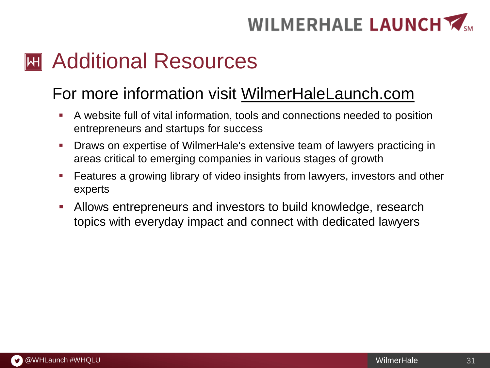# WILMERHALE LAUNCH

## **M** Additional Resources

## For more information visit WilmerHaleLaunch.com

- A website full of vital information, tools and connections needed to position entrepreneurs and startups for success
- Draws on expertise of WilmerHale's extensive team of lawyers practicing in areas critical to emerging companies in various stages of growth
- **Features a growing library of video insights from lawyers, investors and other** experts
- Allows entrepreneurs and investors to build knowledge, research topics with everyday impact and connect with dedicated lawyers